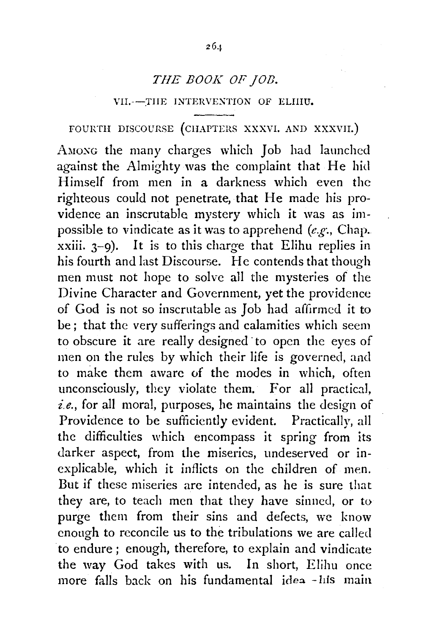## *THE BOOK OF ]OlJ.*

#### VII.--THE INTERVENTION OF ELIIIU.

FOURTH DISCOURSE (CHAPTERS XXXVI. AND XXXVII.)

AMONG the many charges which Job had launched against the Almighty was the complaint that He hid Himself from men in a darkness which even the righteous could not penetrate, that He made his providence an inscrutable mystery which it was as impossible to vindicate as it was to apprehend *(e.g·.,* Chap.  $xxiii. 3-9$ ). It is to this charge that Elihu replies in his fourth and last Discourse. He contends that though men must not hope to solve all the mysteries of the Divine Character and Government, yet the providence of God is not so inscrutable as Job had affirmed it to be ; that the very sufferings and calamities which seem to obscure it are really designed to open the eyes of men on the rules by which their life is governed, and to make them aware of the modes in which, often unconsciously, they violate them. For all practical, *i.e.,* for all mora!, purposes, he maintains the design of Providence to be sufficiently evident. Practically, all the difficulties which encompass it spring from its darker aspect, from the miseries, undeserved or inexplicable, which it inflicts on the children of men. But if these miseries are intended, as he is sure that they are, to teach men that they have sinned, or to purge them from their sins and defects, we know enough to reconcile us to the tribulations we are called to endure ; enough, therefore, to explain and vindicate the way God takes with us. In short, Elihu once more falls back on his fundamental idea -his main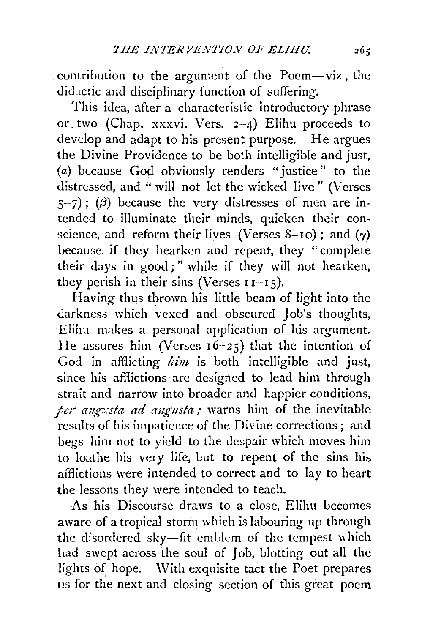contribution to the argument of the Poem-viz., the didactic and disciplinary function of suffering.

This idea, after a characteristic introductory phrase or. two (Chap. xxxvi. Vers. 2-4) Elihu proceeds to develop and adapt to his present purpose. He argues the Divine Providence to be both intelligible and just, (a) because God obviously renders "justice" to the distressed, and " will not let the wicked live " (Verses  $(5-7)$ ; ( $\beta$ ) because the very distresses of men are intended to illuminate their minds, quicken their conscience, and reform their lives (Verses 8-10); and  $(y)$ because if they hearken and repent, they "complete their days in good;" while if they will not hearken, they perish in their sins (Verses  $I1-I5$ ).

Having thus thrown his little beam of light into the. darkness which vexed and obscured Job's thoughts, Elilm makes a personal application of his argument. He assures him (Verses 16-25) that the intention of God in afflicting *him* is both intelligible and just, since his afflictions are designed to lead him through strait and narrow into broader and happier conditions, *per angusta ad augusta*; warns him of the inevitable results of his impatience of the Divine corrections; and begs him not to yield to the despair which moves him to loathe his very life, but to repent of the sins his afflictions were intended to correct and to lay to heart the lessons they were intended to teach.

As his Discourse draws to a close, Elihu becomes aware of a tropical storm which is labouring up through the disordered sky-fit emblem of the tempest which had swept across the soul of Job, blotting out all the lights of hope. With exquisite tact the Poet prepares us for the next and closing section of this great poem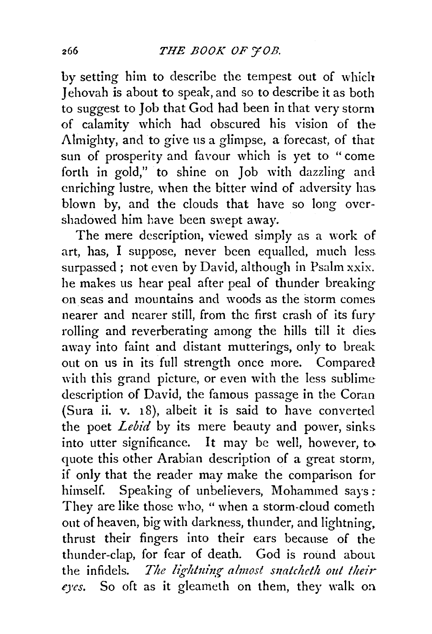by setting him to describe the tempest out of which Jehovah is about to speak, and so to describe it as both to suggest to Job that God had been in that very storm of calamity which had obscured his vision of the  $\Lambda$ lmighty, and to give us a glimpse, a forecast, of that sun of prosperity and favour which is yet to "come forth in gold," to shine on Job with dazzling and enriching lustre, when the bitter wind of adversity has blown by, and the clouds that have so long overshadowed him have been swept away.

The mere description, viewed simply as a work of art, has, I suppose, never been equalled, much less. surpassed ; not even by David, although in Psalm xxix. he makes us hear peal after peal of thunder breaking on seas and mountains and woods as the storm comes nearer and nearer still, from the first crash of its fury rolling and reverberating among the hills till it dies away into faint and distant mutterings, only to break out on us in its full strength once more. Compared with this grand picture, or even with the less sublime description of David, the famous passage in the Coran (Sura ii. v. 18), albeit it is said to have converted the poet *Lebid* by its mere beauty and power, sinks. into utter significance. It may be well, however, to quote this other Arabian description of a great storm, if only that the reader may make the comparison for himself. Speaking of unbelievers, Mohammed says: They are like those who, "when a storm-cloud cometh out of heaven, big with darkness, thunder, and lightning. thrust their fingers into their ears because of the thunder-clap, for fear of death. God is round about the infidels. *The lightning almost snatcheth out their qcs.* So oft as it gleameth on them, they walk on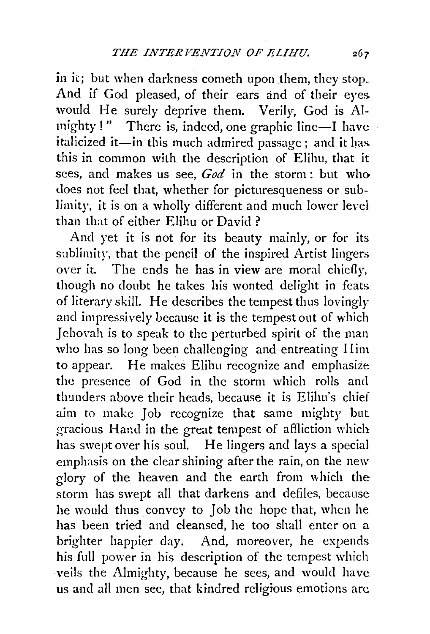in it; but when darkness cometh upon them, they stop. And if God pleased, of their ears and of their eyes. would He surely deprive them. Verily, God is Almighty!" There is, indeed, one graphic line-I have italicized it-in this much admired passage; and it has this in common with the description of Elihu, that it sees, and makes us see, *God* in the storm : but who does not feel that, whether for picturesqueness or sublimity, it is on a wholly different and much lower level than that of either Elihu or David ?

And yet it is not for its beauty mainly, or for its sublimity, that the pencil of the inspired Artist lingers over it. The ends he has in view are moral chiefly, though no doubt he takes his wonted delight in feats. of literary skill. He describes the tempest thus lovingly and impressively because it is the tempest out of which Jehovah is to speak to the perturbed spirit of the man who has so long been challenging and entreating Him to appear. He makes Elihu recognize and emphasize the presence of God in the storm which rolls and thunders above their heads, because it is Elihu's chief aim to make Job recognize that same mighty but gracious Hand in the great tempest of affliction which has swept over his soul. He lingers and lays a special emphasis on the clear shining after the rain, on the new glory of the heaven and the earth from which the storm has swept all that darkens and defiles, because he would thus convey to Job the hope that, when he has been tried and deansed, he too shall enter on a brighter happier day. And, moreover, he expends his full power in his description of the tempest which veils the Almighty, because he sees, and would have us and all men see, that kindred religious emotions are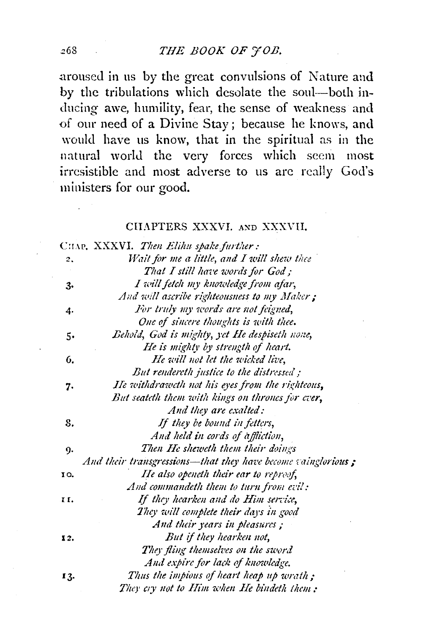.aroused in us by the great convulsions of Nature and by the tribulations \vhich desolate the soul-both inducing awe, humility, fear, the sense of weakness and of our need of a Divine Stay; because he knows, and would have us know, that in the spiritual as in the natural world the very forces which seem most irresistible and most adverse to us arc really God's ministers for our good.

## CHAPTERS XXXVI. AND XXXVII.

|     | CHAP, XXXVI. Then Elihu spake further:                       |
|-----|--------------------------------------------------------------|
| 2.  | Wait for me a little, and I will shew thee                   |
|     | That I still have words for God;                             |
| з.  | I will fetch my knowledge from afar,                         |
|     | And will ascribe righteousness to my Maker;                  |
| 4.  | For truly my words are not feigned,                          |
|     | One of sincere thoughts is with thee.                        |
| 5.  | Behold, God is mighty, yet He despiseth none,                |
|     | He is mighty by strength of heart.                           |
| 6.  | He will not let the wicked live,                             |
|     | But rendereth justice to the distressed;                     |
| 7.  | He withdraweth not his eyes from the righteous,              |
|     | But seateth them with kings on thrones for ever,             |
|     | And they are exalted:                                        |
| 8.  | If they be bound in fetters,                                 |
|     | And held in cords of affliction,                             |
| 9.  | Then He sheweth them their doings                            |
|     | And their transgressions—that they have become vainglorious; |
| 10. | He also openeth their ear to reproof,                        |
|     | And commandeth them to turn from evil:                       |
| н.  | If they hearken and do Him service,                          |
|     | They will complete their days in good                        |
|     | And their years in pleasures;                                |
| 12. | But if they hearken not,                                     |
|     | They fling themselves on the sword                           |
|     | And expire for lack of knowledge.                            |
| 13. | Thus the impious of heart heap up wrath;                     |
|     | They cry not to Him when He bindeth them:                    |

268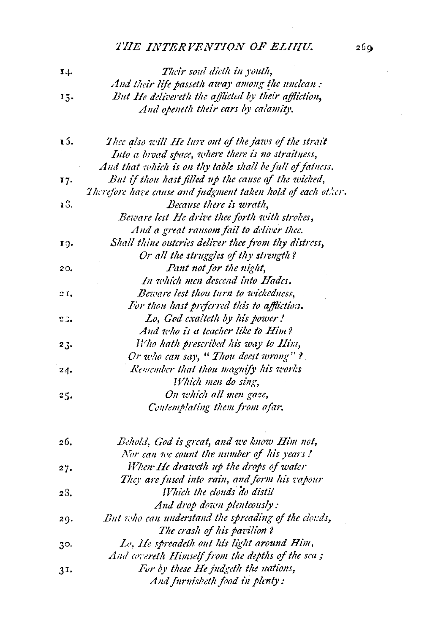# *THE INTERVENTION OF ELIIIU.*

| 14. | Their soul dieth in youth,                                  |
|-----|-------------------------------------------------------------|
|     | And their life passeth away among the unclean :             |
| 15. | But He delivereth the afflicted by their affliction,        |
|     | And openeth their cars by calamity.                         |
| 15. | Thee also will He lure out of the jaws of the strait        |
|     | Into a broad space, where there is no straitness,           |
|     | And that which is on thy table shall be full of fatness.    |
| 17. | But if thou hast filled up the cause of the wicked,         |
|     | Therefore have cause and judgment taken hold of each other. |
| 13. | Because there is wrath,                                     |
|     | Beware lest He drive thee forth with strokes,               |
|     | And a great ransom fail to deliver thee.                    |
| 19. | Shall thine outcries deliver thee from thy distress,        |
|     | Or all the struggles of thy strength?                       |
| 20. | Pant not for the night,                                     |
|     | In which men descend into Hades.                            |
| ΩI, | Beware lest thou turn to wickedness,                        |
|     | For thou hast preferred this to affliction.                 |
| 22. | Lo, God exalteth by his power!                              |
|     | And who is a teacher like to Him?                           |
| 23. | Who hath prescribed his way to Him,                         |
|     | Or who can say, " Thou doest wrong" ?                       |
| 24. | Remember that thou magnify his works                        |
|     | Which men do sing,                                          |
| 25. | On which all men gase,                                      |
|     | Contemplating them from afar.                               |
| 26. | Behold, God is great, and we know Him not,                  |
|     | Nor can we count the number of his years!                   |
| 27. | When He draweth up the drops of water                       |
|     | They are fused into rain, and form his vapour               |
| 28. | Which the clouds do distil                                  |
|     | And drop down plentcously:                                  |
| 29. | But who can understand the spreading of the clouds,         |
|     | The crash of his pavilion?                                  |
| 30. | Lo, He spreadeth out his light around Him,                  |
|     | And covereth Himself from the depths of the sca;            |
| 31. | For by these He judgeth the nations,                        |
|     | And furnisheth food in plenty:                              |
|     |                                                             |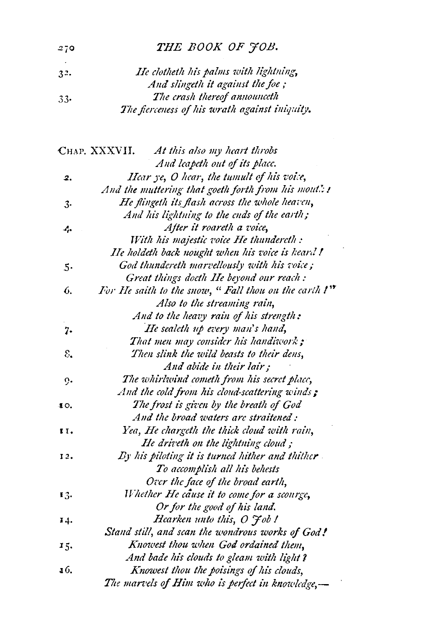# THE BOOK OF JOB.

| 3 <sup>2</sup> | He clotheth his palms with lightning,         |
|----------------|-----------------------------------------------|
|                | And slingeth it against the foe;              |
| $33 -$         | The crash thereof announceth                  |
|                | The fierceness of his wrath against iniquity. |

|     | CHAP. XXXVII.<br>At this also my heart throbs                |
|-----|--------------------------------------------------------------|
|     | And leapeth out of its place.                                |
| 2.  | Hear ye, O hear, the tumult of his voice,                    |
|     | And the muttering that goeth forth from his mout!: !         |
| 3.  | He flingeth its flash across the whole heaven,               |
|     | And his lightning to the ends of the earth;                  |
| 4.  | After it roareth a voice,                                    |
|     | With his majestic voice He thundereth :                      |
|     | He holdeth back nought when his voice is heard!              |
| 5.  | God thundereth marvellously with his voice;                  |
|     | Great things docth He beyond our reach :                     |
| 6.  | For He saith to the snow, " Fall thou on the carth !"        |
|     | Also to the streaming rain,                                  |
|     | And to the heavy rain of his strength:                       |
| 7.  | He sealeth up every man's hand,                              |
|     | That men may consider his handiwork;                         |
| ε.  | Then slink the wild beasts to their dens,                    |
|     | And abide in their lair;                                     |
| ο.  | The whirlwind cometh from his secret place,                  |
|     | And the cold from his cloud-scattering winds $\ddot{\bm{x}}$ |
| 10. | The frost is given by the breath of God                      |
|     | And the broad waters are straitened:                         |
| 11. | Yea, He chargeth the thick cloud with rain,                  |
|     | He driveth on the lightning cloud;                           |
| 12. | By his piloting it is turned hither and thither              |
|     | To accomplish all his behests                                |
|     | Over the face of the broad earth,                            |
| 13. | Whether He cause it to come for a scourge,                   |
|     | Or for the good of his land.                                 |
| 14. | Hearken unto this, O <i>Fob!</i>                             |
|     | Stand still, and scan the wondrous works of God!             |
| 15. | Knowest thou when God ordained them,                         |
|     | And bade his clouds to gleam with light?                     |
| 16. | Knowest thou the poisings of his clouds,                     |
|     | The marvels of Him who is perfect in knowledge,-             |
|     |                                                              |

 $-270$  $\sim$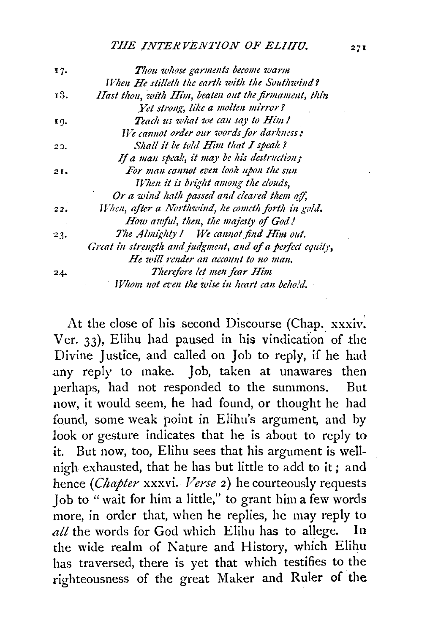### *THE INTERVENTION OF ELIIIU.* 271

| 17. | Thou whose garments become warm                          |
|-----|----------------------------------------------------------|
|     | When He stilleth the earth with the Southwind?           |
| 13. | Hast thou, with Him, beaten out the firmament, thin      |
|     | Yet strong, like a molten mirror?                        |
| 19. | Teach us what we can say to Him!                         |
|     | We cannot order our words for darkness:                  |
| 20. | Shall it be told Him that I speak?                       |
|     | If a man speak, it may be his destruction;               |
| 21. | For man cannot even look upon the sun                    |
|     | When it is bright among the clouds,                      |
|     | Or a wind hath passed and cleared them off,              |
| 22. | When, after a Northwind, he cometh forth in gold.        |
|     | How awful, then, the majesty of God!                     |
| 23. | The Almighty! We cannot find Him out.                    |
|     | Great in strength and judgment, and of a perfect equity, |
|     | He will render an account to no man,                     |
| 24. | Therefore let men fear Him                               |
|     | Whom not even the wise in heart can behold.              |

At the close of his second Discourse (Chap. xxxiv. Ver.  $33$ ), Elihu had paused in his vindication of the Divine Justice, and called on Job to reply, if he had .any reply to make. Job, taken at unawares then perhaps, had not responded to the summons. But now, it would seem, he had found, or thought he had found, some weak point in Elihu's argument, and by look or gesture indicates that he is about to reply to it. But now, too, Elihu sees that his argument is wellnigh exhausted, that he has but little to add to it ; and hence *(Chapter* xxxvi. *Verse* 2) he courteously requests Job to "wait for him a little," to grant him a few words more, in order that, when he replies, he may reply to *all* the words for God which Elihu has to allege. In the wide realm of Nature and History, which Elihu has traversed, there is yet that which testifies to the righteousness of the great Maker and Ruler of the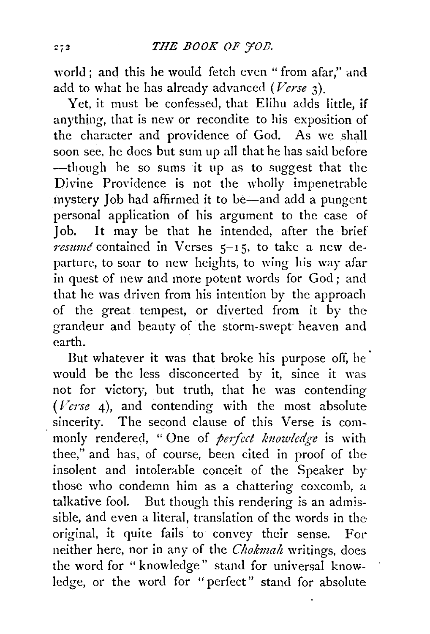world ; and this he would fetch even " from afar," and add to what he has already advanced *(Verse* 3).

Yet, it must be confessed, that Elihu adds little, if anything, that is new or recondite to his exposition of the character and providence of God. As we shall soon see, he does but sum up all that he has said before -though he so sums it up as to suggest that the Divine Providence is not the wholly impenetrable mystery Job had affirmed it to be-and add a pungent personal application of his argument to the case of Job. It may be that he intended, after the brief resume contained in Verses  $5-15$ , to take a new departure, to soar to new heights, to wing his way afar in quest of new and more potent words for God ; and that he was driven from his intention by the approach of the great tempest, or diverted from it by the grandeur and beauty of the storm-swept heaven and earth.

But whatever it was that broke his purpose off, he<sup> $\cdot$ </sup> would be the less disconcerted by it, since it was not for victory, but truth, that he was contending *(Verse* 4), and contending with the most absolute sincerity. The second clause of this Verse is commonly rendered, "One of *perfect knowledge* is with thee," and has, of course, been cited in proof of the insolent and intolerable conceit of the Speaker by those who condemn him as a chattering coxcomb, a talkative fool. But though this rendering is an admissible, and even a literal, translation of the words in the original, it quite fails to convey their sense. For neither here, nor in any of the *Chokmah* writings, does the word for " knowledge" stand for universal knowledge, or the word for "perfect" stand for absolute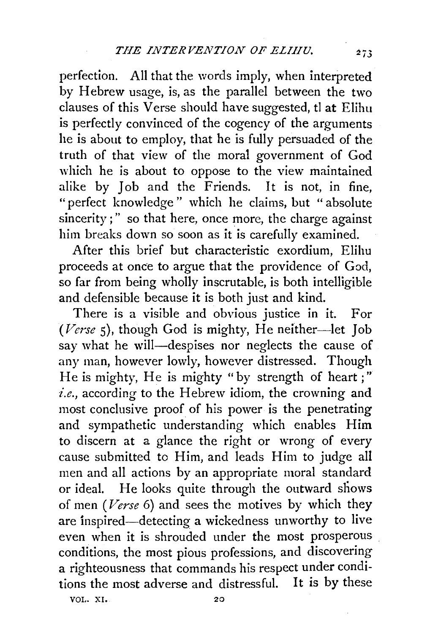perfection. All that the words imply, when interpreted by Hebrew usage, is, as the parallel between the two clauses of this Verse should have suggested, tl at Elihu is perfectly convinced of the cogency of the arguments he is about to employ, that he is fully persuaded of the truth of that view of the moral government of God which he is about to oppose to the view maintained alike by Job and the Friends. It is not, in fine. "perfect knowledge " which he claims, but " absolute sincerity;" so that here, once more, the charge against him breaks down so soon as it is carefully examined.

After this brief but characteristic exordium, Elihu proceeds at once to argue that the providence of God, so far from being wholly inscrutable, is both intelligible and defensible because it is both just and kind.

There is a visible and obvious justice in it. For (Verse 5), though God is mighty, He neither-let Job say what he will-despises nor neglects the cause of any man, however lowly, however distressed. Though He is mighty, He is mighty "by strength of heart ;"  $i.e., according to the Hebrew idiom, the crowning and$ most conclusive proof of his power is the penetrating and sympathetic understanding which enables Him to discern at a glance the right or wrong of every cause submitted to Him, and leads Him to judge all men and all actions by an appropriate moral standard or ideal. He looks quite through the outward shows of men *(Verse* 6) and sees the motives by which they are inspired-detecting a wickedness unworthy to live even when it is shrouded under the most prosperous conditions, the most pious professions, and discovering a righteousness that commands his respect under conditions the most adverse and distressful. It is by these VOL. XI. 20

 $273$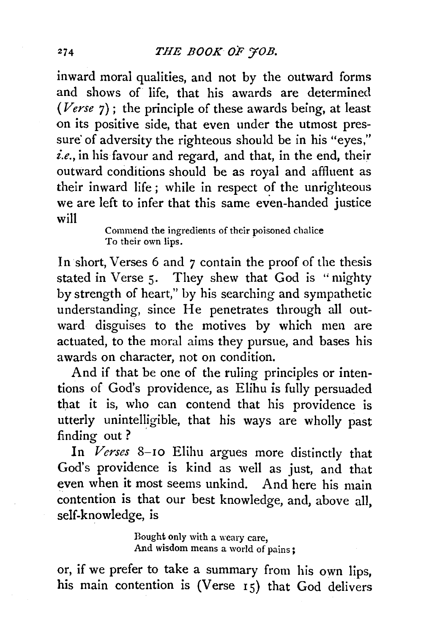inward moral qualities, and not by the outward forms and shows of life, that his awards are determined *(Verse* 7) ; the principle of these awards being, at least on its positive side, that even under the utmost pressure of adversity the righteous should be in his "eyes," *i.e.,* in his favour and regard, and that, in the end, their outward conditions should be as royal and affluent as their inward life ; while in respect of the unrighteous we are left to infer that this same even-handed justice will

> Commend the ingredients of their poisoned chalice To their own lips.

In short, Verses 6 and *7* contain the proof of the thesis stated in Verse 5. They shew that God is "mighty" by strength of heart," by his searching and sympathetic understanding, since He penetrates through all outward disguises to the motives by which men are actuated, to the moral aims they pursue, and bases his awards on character, not on condition.

And if that be one of the ruling principles or intentions of God's providence, as Elihu is fully persuaded that it is, who can contend that his providence is utterly unintelligible, that his ways are wholly past finding out ?

In *Verses* 8-10 Elihu argues more distinctly that God's providence is kind as well as just, and that even when it most seems unkind. And here his main contention is that our best knowledge, and, above all, self-knowledge, is

> Bought only with a weary care, And wisdom means a world of pains ;

or, if we prefer to take a summary from his own lips, his main contention is (Verse 15) that God delivers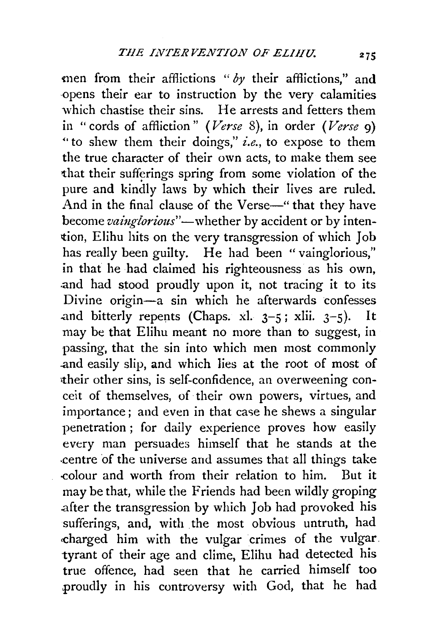men from their afflictions " *by* their afflictions," and ·opens their ear to instruction by the very calamities which chastise their sins. He arrests and fetters them in "cords of affliction" *(Verse* 8), in order *(Verse* 9) .. to shew them their doings," *i.e.,* to expose to them the true character of their own acts, to make them see that their sufferings spring from some violation of the pure and kindly laws by which their lives are ruled. And in the final clause of the Verse-" that they have become vainglorious"-whether by accident or by intention, Elihu hits on the very transgression of which Job has really been guilty. He had been "vainglorious," in that he had claimed his righteousness as his own, .and had stood proudly upon it, not tracing it to its Divine origin-a sin which he afterwards confesses and bitterly repents (Chaps. xl.  $3-5$ ; xlii.  $3-5$ ). may be that Elihu meant no more than to suggest, in passing, that the sin into which men most commonly .and easily slip, and which lies at the root of most of •their other sins, is self-confidence, an overweening conceit of themselves, of their own powers, virtues, and importance; and even in that case he shews a singular penetration ; for daily experience proves how easily every man persuades himself that he stands at the .centre of the universe and assumes that all things take -colour and worth from their relation to him. But it may be that, while the Friends had been wildly groping .after the transgression by which Job had provoked his sufferings, and, with the most obvious untruth, had charged him with the vulgar crimes of the vulgar. tyrant of their age and clime, Elihu had detected his true offence, had seen that he carried himself too .proudly in his controversy with God, that he had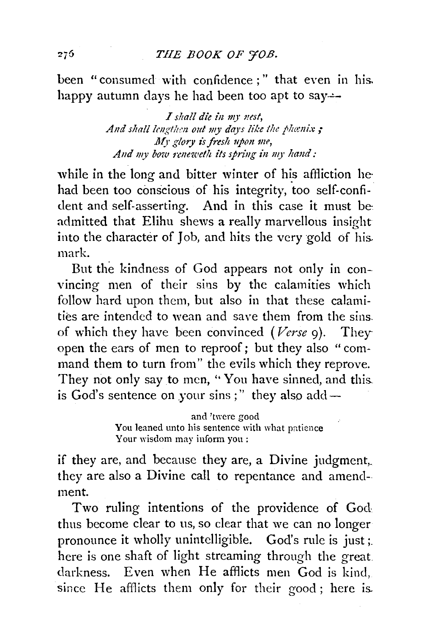been "consumed with confidence ; " that even in his. happy autumn days he had been too apt to say—

> *I s!tall die in m;· 1test,*  And shall lengthen out my days like the phenix; My glory is fresh upon me, *And my bow reneweflt its spring in m;· hand:*

while in the long and bitter winter of his affliction hehad been too conscious of his integrity, too self-confident and self-asserting. And in this case it must be admitted that Elihu shews a really marvellous insight into the character of Job, and hits the very gold of his. mark.

But the kindness of God appears not only in convincing men of their sins by the calamities which follow hard upon them, but also in that these calamities are intended to wean and save them from the sins. of which they have been convinced *(Verse* 9). They open the ears of men to reproof; but they also "command them to turn from" the evils which they reprove. They not only say to men, "You have sinned, and this. is God's sentence on your sins ;" they also add  $-$ 

> and 'twere good You leaned unto his sentence with what patience Your wisdom may inform you:

if they are, and because they are, a Divine judgment,. they are also a Divine call to repentance and amendment.

Two ruling intentions of the providence of God thus become clear to us, so clear that we can no longer pronounce it wholly unintelligible. God's rule is just;. here is one shaft of light streaming through the great darkness. Even when He afflicts men God is kind, since He afflicts them only for their good; here is.

276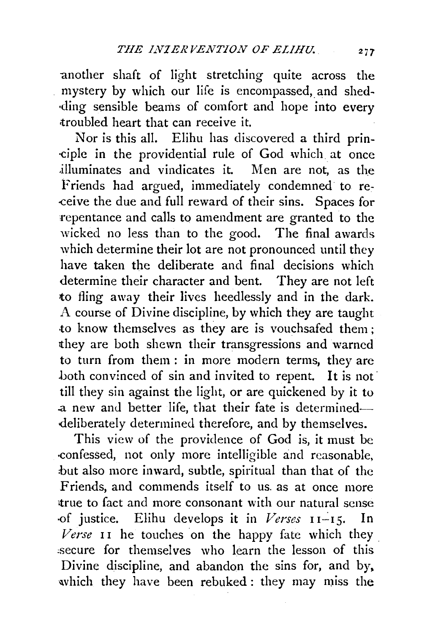another shaft of light stretching quite across the mystery by which our life is encompassed, and shed-·ding sensible beams of comfort and hope into every <troubled heart that can receive it.

Nor is this all. Elihu has discovered a third prin- -ciple in the providential rule of God which at once .illuminates and vindicates it. Men are not, as the Friends had argued, immediately condemned to re--ceive the due and full reward of their sins. Spaces for 'repentance and calls to amendment are granted to the wicked no less than to the good. The final awards which determine their lot are not pronounced until they have taken the deliberate and final decisions which determine their character and bent. They are not left to fling away their lives heedlessly and in the dark. A course of Divine discipline, by which they are taught to know themselves as they are is vouchsafed them; they are both shewn their transgressions and warned to turn from them : in more modern terms, they are both convinced of sin and invited to repent. It is not till they sin against the light, or are quickened by it to a new and better life, that their fate is determineddeliberately determined therefore, and by themselves.

This view of the providence of God is, it must be -confessed, not only more intelligible and reasonable, but also more inward, subtle, spiritual than that of the Friends, and commends itself to us. as at once more true to fact and more consonant with our natural sense of justice. Elihu develops it in *Verses* 11-15. In *Verse* 11 he touches on the happy fate which they. :secure for themselves who learn the lesson of this Divine discipline, and abandon the sins for, and by, which they have been rebuked: they may miss the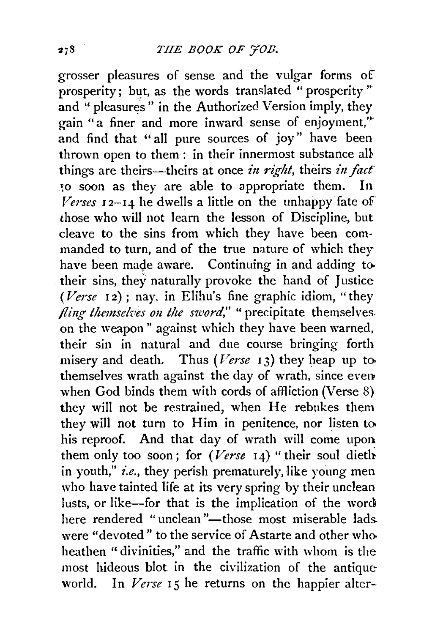grosser pleasures of sense and the vulgar forms of prosperity; but, as the words translated " prosperity " and " pleasures" in the Authorized Version imply, they gain "a finer and more inward sense of enjoyment,"' and find that " all pure sources of joy" have been thrown open to them: in their innermost substance all things are theirs-theirs at once *in right*, theirs *in fact* to soon as they are able to appropriate them. In *Verses* I 2-14 he dwells a little on the unhappy fate of those who will not learn the lesson of Discipline, but cleave to the sins from which they have been commanded to turn, and of the true nature of which they have been made aware. Continuing in and adding to their sins, they naturally provoke the hand of Justice *(Verse* 12) ; nay, in Elihu's fine graphic idiom, "they *fling themselves on the sword,"* "precipitate themselves. on the weapon" against which they have been warned, their sin in natural and due course bringing forth misery and death. Thus *(Verse* 13) they heap up to. themselves wrath against the day of wrath, since even when God binds them with cords of affliction (Verse 8) they will not be restrained, when He rebukes them they will not turn to Him in penitence, nor listen to. his reproof. And that day of wrath will come upon them only too soon; for  $(Verse 14)$  "their soul diethin youth," *i.e.,* they perish prematurely, like young men who have tainted life at its very spring by their unclean lusts, or like-for that is the implication of the word here rendered "unclean"-those most miserable ladswere "devoted" to the service of Astarte and other whoheathen "divinities," and the traffic with whom is the most hideous blot in the civilization of the antique world. In *Verse* 15 he returns on the happier alter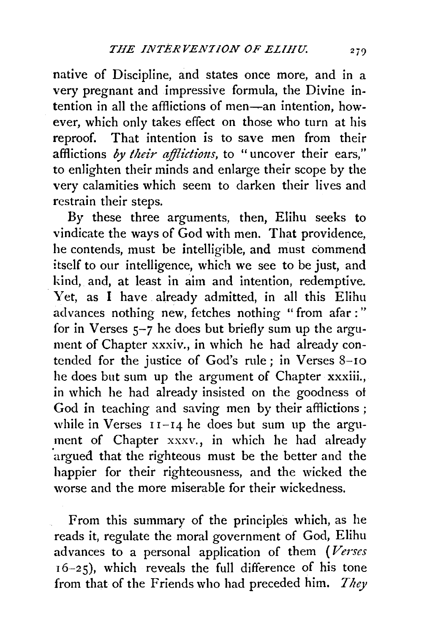native of Discipline, and states once more, and in a very pregnant and impressive formula, the Divine intention in all the afflictions of men-an intention, however, which only takes effect on those who turn at his reproof. That intention is to save men from their afflictions by their afflictions, to "uncover their ears," to enlighten their minds and enlarge their scope by the very calamities which seem to darken their lives and restrain their steps.

By these three arguments, then, Elihu seeks to vindicate the ways of God with men. That providence, he contends, must be intelligible, and must commend itself to our intelligence, which we see to be just, and kind, and, at least in aim and intention, redemptive. Yet, as I have already admitted, in all this Elihu advances nothing new, fetches nothing " from afar : " for in Verses  $5-7$  he does but briefly sum up the argument of Chapter xxxiv., in which he had already contended for the justice of God's rule; in Verses 8-10 he does but sum up the argument of Chapter xxxiii., in which he had already insisted on the goodness ot God in teaching and saving men by their afflictions ; while in Verses  $11-14$  he does but sum up the argument of Chapter xxxv., in which he had already argued that the righteous must be the better and the happier for their righteousness, and the wicked the worse and the more miserable for their wickedness.

From this summary of the principles which, as he reads it, regulate the moral government of God, Elihu advances to a personal application of them *(Verses*  <sup>I</sup>6-2 5), which reveals the full difference of his tone from that of the Friends who had preceded him. *They*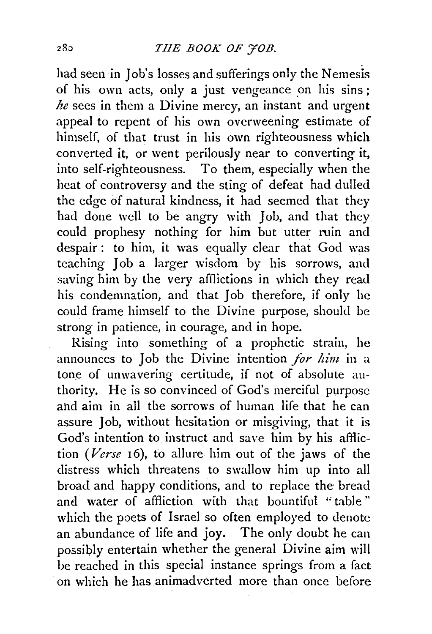had seen in Job's losses and sufferings only the Nemesis of his own acts, only a just vengeance on his sins; *he* sees in them a Divine mercy, an instant and urgent appeal to repent of his own overweening estimate of himself, of that trust in his own righteousness which converted it, or went perilously near to converting it, into self-righteousness. To them, especially when the heat of controversy and the sting of defeat had dulied the edge of natural kindness, it had seemed that they had done well to be angry with Job, and that they could prophesy nothing for him but utter ruin and despair: to him, it was equally clear that God was teaching Job a larger wisdom by his sorrows, and saving him by the very afflictions in which they read his condemnation, and that Job therefore, if only he could frame himself to the Divine purpose, should be strong in patience, in courage, and in hope.

Rising into something of a prophetic strain, he announces to Job the Divine intention *for him* in a tone of unwavering certitude, if not of absolute authority. He is so convinced of God's merciful purpose and aim in all the sorrows of human life that he can assure Job, without hesitation or misgiving, that it is God's intention to instruct and save him by his affliction *(Verse* 16), to allure him out of the jaws of the distress which threatens to swallow him up into all broad and happy conditions, and to replace the bread and water of affliction with that bountiful "table " which the poets of Israel so often employed to denote an abundance of life and joy. The only doubt he can possibly entertain whether the general Divine aim will be reached in this special instance springs from a fact on which he has animadverted more than once before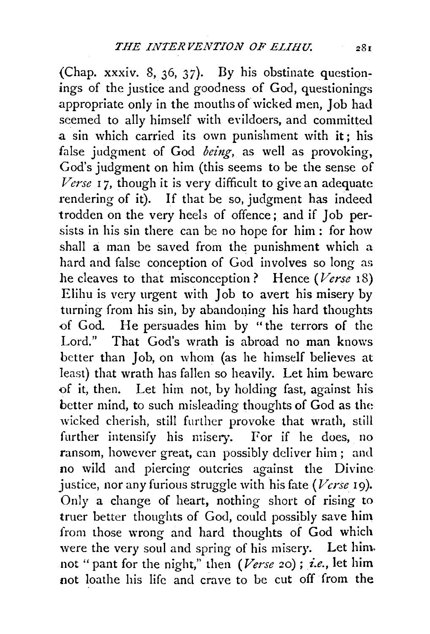(Chap. xxxiv. 8, 36, 37). By his obstinate questionings of the justice and goodness of God, questionings appropriate only in the mouths of wicked men, Job had seemed to ally himself with evildoers, and committed a sin which carried its own punishment with it; his false judgment of God *being*, as well as provoking, God's judgment on him (this seems to be the sense of *Verse* 17, though it is very difficult to give an adequate rendering of it). If that be so, judgment has indeed trodden on the very heels of offence; and if Job persists in his sin there can be no hope for him : for how shall a man be saved from the punishment which a hard and false conception of God involves so long as he cleaves to that misconception? Hence *(Verse* 18) Elihu is very urgent with Job to avert his misery by turning from his sin, by abandoning his hard thoughts of God. He persuades him by "the terrors of the Lord." That God's wrath is abroad no man knows better than Job, on whom (as he himself believes at least) that wrath has fallen so heavily. Let him beware of it, then. Let him not, by holding fast, against his better mind, to such misleading thoughts of God as the wicked cherish, still further provoke that wrath, still further intensify his misery. For if he does, no ransom, however great, can possibly deliver him; and no wild and piercing outcries against the Divine justice, nor any furious struggle with his fate *(Verse* 19). Only a change of heart, nothing short of rising to truer better thoughts of God, could possibly save him from those wrong and hard thoughts of God which were the very soul and spring of his misery. Let him. not "pant for the night," then *(Verse* 20) ; *£.e.,* let him not loathe his life and crave to be cut off from the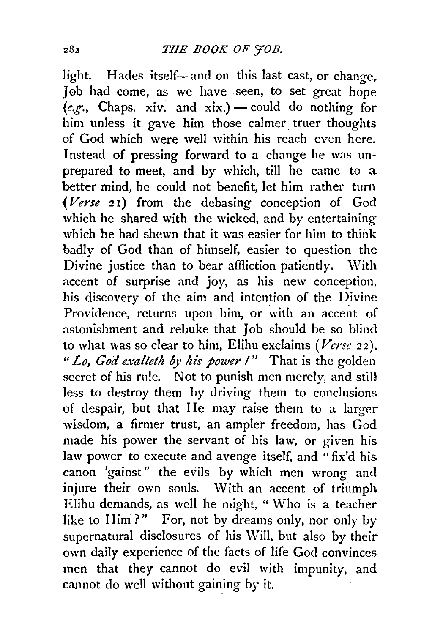light. Hades itself-and on this last cast, or change, Job had come, as we have seen, to set great hope  $(e.g., Chaps. xiv. and xix.)$  - could do nothing for him unless it gave him those calmer truer thoughts of God which were well within his reach even here. Instead of pressing forward to a change he was unprepared to meet, and by which, till he came to a better mind, he could not benefit, let him rather turn *(Verse* 2 1) from the debasing conception of God which he shared with the wicked, and by entertaining which he had shewn that it was easier for him to think badly of God than of himself, easier to question the Divine justice than to bear affliction patiently. With accent of surprise and joy, as his new conception, his discovery of the aim and intention of the Divine Providence, returns upon him, or with an accent of astonishment and rebuke that Job should be so blind to what was so clear to him, Elihu exclaims *(Verse* 22 ). *"Lo, God exalteth by his power I"* That is the golden secret of his rule. Not to punish men merely, and still less to destroy them by driving them to conclusions. of despair, but that He may raise them to a larger wisdom, a firmer trust, an ampler freedom, has God made his power the servant of his law, or given his. law power to execute and avenge itself, and "fix'd his. canon 'gainst" the evils by which men wrong and injure their own souls. With an accent of triumph Elihu demands, as well he might, " \Vho is a teacher like to Him?" For, not by dreams only, nor only by supernatural disclosures of his Will, but also by their own daily experience of the facts of life God convinces men that they cannot do evil with impunity, and cannot do well without gaining by it.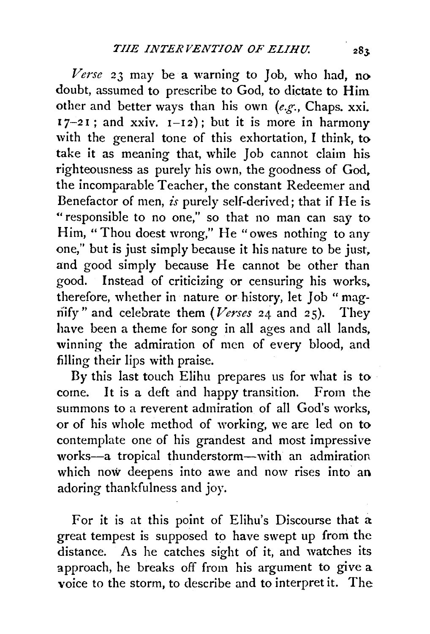*Verse* 23 may be a warning to Job, who had, no doubt, assumed to prescribe to God, to dictate to Him other and better ways than his own *(e.g.,* Chaps. xxi.  $17-21$ ; and xxiv.  $1-12$ ); but it is more in harmony with the general tone of this exhortation, I think, to take it as meaning that, while Job cannot claim his righteousness as purely his own, the goodness of God, the incomparable Teacher, the constant Redeemer and Benefactor of men, *is* purely self-derived; that if He is "responsible to no one," so that no man can say to Him, "Thou doest wrong," He "owes nothing to any one," but is just simply because it his nature to be just, and good simply because He cannot be other than good. Instead of criticizing or censuring his works. therefore, whether in nature or history, let Job " magnify" and celebrate them *(Verses* 24 and 25). They have been a theme for song in all ages and all lands, winning the admiration of men of every blood, and filling their lips with praise.

By this last touch Elihu prepares us for what is to come. It is a deft and happy transition. From the summons to a reverent admiration of all God's works, or of his whole method of working, we are led on to contemplate one of his grandest and most impressive works-a tropical thunderstorm-with an admiration which now deepens into awe and now rises into an adoring thankfulness and joy.

For it is at this point of Elihu's Discourse that a great tempest is supposed to have swept up from the distance. As he catches sight of it, and watches its approach, he breaks off from his argument to give a voice to the storm, to describe and to interpret it. The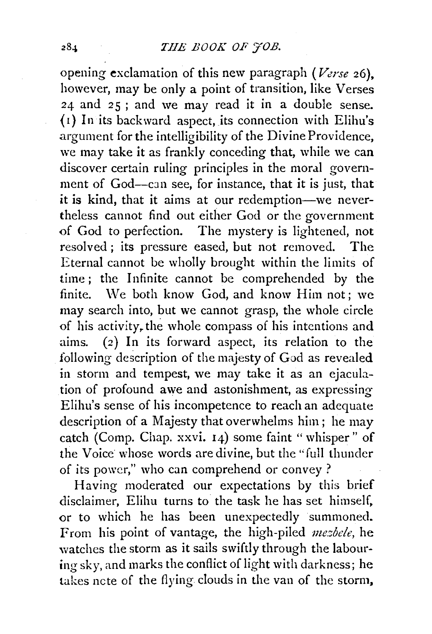opening exclamation of this new paragraph (*Verse* 26), however, may be only a point of transition, like Verses 24 and 25 ; and we may read it in a double sense. ( 1) In its backward aspect, its connection with Elihu's argument for the intelligibility of the Divine Providence, we may take it as frankly conceding that, while we can discover certain ruling principles in the moral government of God-can see, for instance, that it is just, that *it* is kind, that it aims at our redemption-we nevertheless cannot find out either God or the government of God to perfection. The mystery is lightened, not resolved; its pressure eased, but not removed. The Eternal cannot be wholly brought within the limits of time; the Infinite cannot be comprehended by the finite. \Ve both know God, and know Him not; we may search into, but we cannot grasp, the whole circle of his activity, the whole compass of his intentions and aims. (2) In its forward aspect, its relation to the following description of the majesty of God as revealed in storm and tempest, we may take it as an ejaculation of profound awe and astonishment, as expressing Elihu's sense of his incompetence to reach an adequate description of a Majesty that overwhelms him; he may catch (Comp. Chap. xxvi. 14) some faint "whisper" of the Voice whose words are divine, but the "full thunder of its power," who can comprehend or convey?

Having moderated our expectations by this brief disclaimer, Elihu turns to the task he has set himself, or to which he has been unexpectedly summoned. From his point of vantage, the high-piled *mesbele*, he watches the storm as it sails swiftly through the labouring sky, and marks the conflict of light with darkness; he takes ncte of the flying clouds in the van of the storm,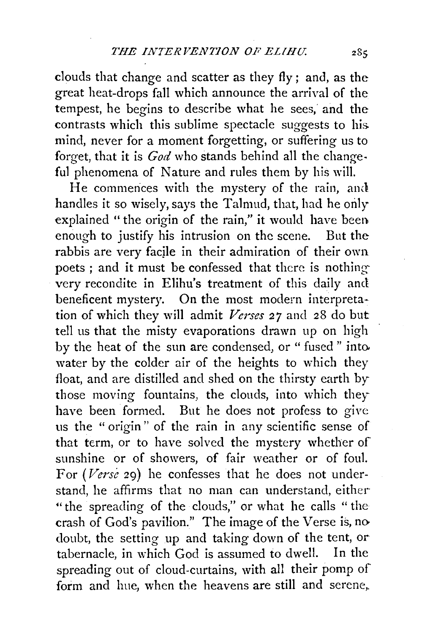clouds that change and scatter as they fly; and, as the great heat-drops fall which announce the arrival of the tempest, he begins to describe what he sees,' and the contrasts which this sublime spectacle suggests to his. mind, never for a moment forgetting, or suffering us to forget, that it is *God* who stands behind all the change· ful phenomena of Nature and rules them by his will.

He commences with the mystery of the rain, and handles it so wisely, says the Talmud, that, had he only explained " the origin of the rain," it would have been. enough to justify his intrusion on the scene. But the rabbis are very facile in their admiration of their own poets ; and it must be confessed that there is nothingvery recondite in Elihu's treatment of this daily and beneficent mystery. On the most modern interpretation of which they will admit *Verses 27* and 28 do but tell us that the misty evaporations drawn up on high by the heat of the sun are condensed, or " fused " into. water by the colder air of the heights to which they float, and are distilled and shed on the thirsty earth by those moving fountains, the clouds, into which they have been formed. But he does not profess to give us the " origin" of the rain in any scientific sense of that term, or to have solved the mystery whether of sunshine or of showers, of fair weather or of foul. For *(Verse* 29) he confesses that he does not understand, he affirms that no man can understand, either-" the spreading of the clouds," or what he calls " the crash of God's pavilion." The image of the Verse is, no doubt, the setting up and taking down of the tent, or tabernacle, in which God is assumed to dwell. In the spreading out of cloud-curtains, with all their pomp of form and hue, when the heavens are still and serene,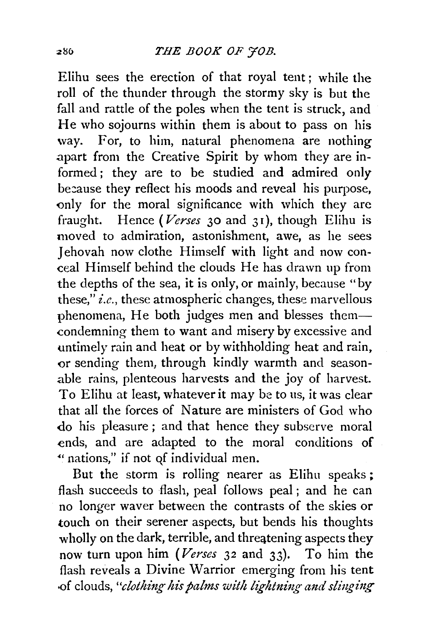Elihu sees the erection of that royal tent; while the roll of the thunder through the stormy sky is but the fall and rattle of the poles when the tent is struck, and He who sojourns within them is about to pass on his way. For, to him, natural phenomena are nothing .apart from the Creative Spirit by whom they are informed; they are to be studied and admired only be:ause they reflect his moods and reveal his purpose, only for the moral significance with which they are fraught. Hence *(Verses* 30 and 31 ), though Elihu is moved to admiration, astonishment, awe, as he sees Iehovah now clothe Himself with light and now conceal Himself behind the clouds He has drawn up from the depths of the sea, it is only, or mainly, because "by these," *i.e.,* these atmospheric changes, these marvellous phenomena, He both judges men and blesses themcondemning them to want and misery by excessive and untimely rain and heat or by withholding heat and rain, or sending them, through kindly warmth and seasonable rains, plenteous harvests and the joy of harvest. To Elihu at least, whatever it may be to us, it was clear that all the forces of Nature are ministers of God who do his pleasure; and that hence they subserve moral ends, and are adapted to the moral conditions of ~' nations," if not qf individual men.

But the storm is rolling nearer as Elihu speaks ; flash succeeds to flash, peal follows peal ; and he can no longer waver between the contrasts of the skies or touch on their serener aspects, but bends his thoughts wholly on the dark, terrible, and threqtening aspects they now turn upon him *(Verses* 32 and 33). To him the flash reveals a Divine Warrior emerging from his tent -of clouds, "clothing his palms with lightning and slinging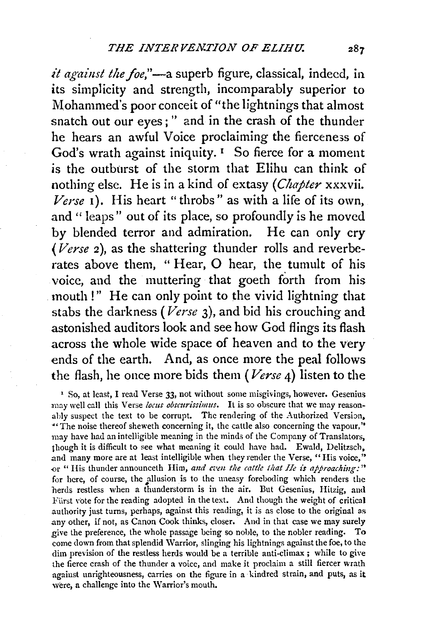*it against the foe*,"—a superb figure, classical, indeed, in its simplicity and strength, incomparably superior to Mohammed's poor conceit of "the lightnings that almost snatch out our eyes; " and in the crash of the thunder he hears an awful Voice proclaiming the fierceness of God's wrath against iniquity.  $I$  So fierce for a moment is the outburst of the storm that Elihu can think of nothing else. He is in a kind of extasy *(Chapter* xxxvii.  $Verse$  1). His heart "throbs" as with a life of its own, and " leaps" out of its place, so profoundly is he moved by blended terror and admiration. He can only cry *(Verse* 2), as the shattering thunder rolls and reverberates above them, " Hear, 0 hear, the tumult of his voice, and the muttering that goeth forth from his mouth!" He can only point to the vivid lightning that stabs the darkness *(Verse* 3), and bid his crouching and astonished auditors look and see how God flings its flash across the whole wide space of heaven and to the very ends of the earth. And, as once more the peal follows the flash, he once more bids them *(Verse* 4) listen to the

' So, at least, I read Verse 33, not without some misgivings, however. Gesenius may well call this Verse locus obscurissimus. It is so obscure that we may reasonably suspect the text to be corrupt. The rendering of the Authorized Version, <sup>44</sup> The noise thereof sheweth concerning it, the cattle also concerning the vapour," may have had an intelligible meaning in the minds of the Company of Translators, though it is difficult to see what meaning it could have had. Ewald, Delitzsch, and many more are at least intelligible when they render the Verse, "His voice," or " His thunder announceth Him, and even the cattle that He is approaching:" for here, of course, the allusion is to the uneasy foreboding which renders the herds restless when a thunderstorm is in the air. But Gesenius, Hitzig, and Fürst vote for the reading adopted in the text. And though the weight of critical authority just turns, perhaps, against this reading, it is as close to the original as any other, if not, as Canon Cook thinks, closer. And in that case we may surely give the preference, the whole passage being so noble, to the nobler reading. To come down from that splendid Warrior, slinging his lightnings against the foe, to the dim prevision of the restless herds would be a terrible anti-climax; while to give the fierce crash of the thunder a voice, and make it proclaim a still fiercer wrath against unrighteousness, carries on the figure in a· kindred strain, and puts, as it were, a challenge into the Warrior's mouth.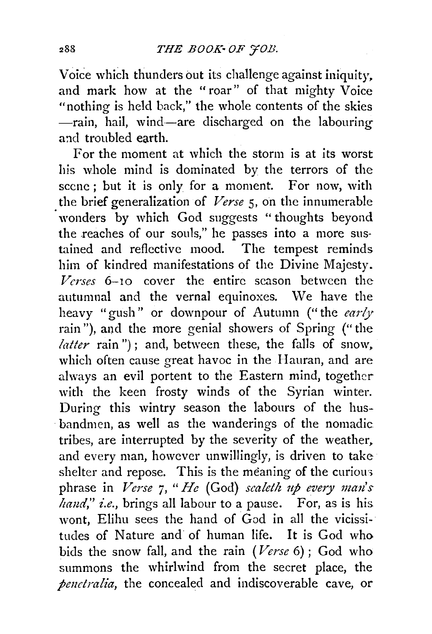Voice which thunders out its challenge against iniquity, and mark how at the " roar" of that mighty Voice "nothing is held back," the whole contents of the skies -rain, hail, wind-are discharged on the labouring and troubled earth.

For the moment at which the storm is at its worst his whole mind is dominated by the terrors of the scene ; but it is only for a moment. For now, with the brief generalization of *Verse 5,* on the innumerable wonders by which God suggests "thoughts beyond the reaches of our souls," he passes into a more sustained and reflective mood. The tempest reminds him of kindred manifestations of the Divine Majesty. *Verses* 6-10 cover the entire season between the autumnal and the vernal equinoxes. We have the heavy "gush" or downpour of Autumn ("the *early*  rain"), and the more genial showers of Spring ("the *latter* rain"); and, between these, the falls of snow, which often cause great havoc in the Hauran, and are ahvays an evil portent to the Eastern mind, together with the keen frosty winds of the Syrian winter. During this wintry season the labours of the husbandmen, as well as the wanderings of the nomadic tribes, are interrupted by the severity of the weather, and every man, however unwillingly, is driven to take shelter and repose. This is the meaning of the curious phrase in *Verse 7, "He* (God) *scaleth up every man's hand," i.e.,* brings all labour to a pause. For, as is his. wont, Elihu sees the hand of God in all the vicissitudes of Nature and of human life. It is God who bids the snow fall, and the rain *(Verse* 6) ; God who summons the whirlwind from the secret place, the *penetralia,* the concealed and indiscoverable cave, or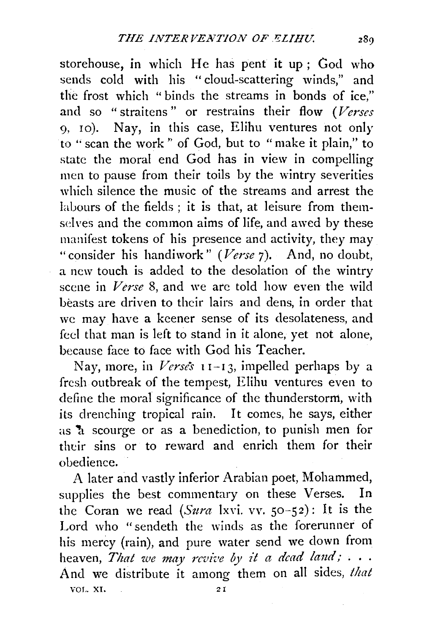storehouse, in which He has pent it up; God who sends cold with his "cloud-scattering winds," and the frost which " binds the streams in bonds of ice," and so "straitens" or restrains their flow *(Verses*  9, IO). Nay, in this case, Elihu ventures not only to "scan the work'' of God, but to "make it plain," to state the moral end God has in view in compelling men to pause from their toils by the wintry severities which silence the music of the streams and arrest the labours of the fields ; it is that, at leisure from themselves and the common aims of life, and awed by these manifest tokens of his presence and activity, they may "consider his handiwork" *(Verse* 7). And, no doubt, a new touch is added to the desolation of the wintry scene in *Verse 8,* and we arc told how even the wild beasts are driven to their lairs and dens, in order that we may have a keener sense of its desolateness, and feel that man is left to stand in it alone, yet not alone, because face to face with God his Teacher.

Nay, more, in *Verses* r 1-I 3, impelled perhaps by a fresh outbreak of the tempest, Elihu ventures even to define the moral significance of the thunderstorm, with its drenching tropical rain. It comes, he says, either as  $\lambda$  scourge or as a benediction, to punish men for their sins or to reward and enrich them for their obedience.

A later and vastly inferior Arabian poet, Mohammed, supplies the best commentary on these Verses. In the Coran we read *(Sura* lxvi. vv. 50-52): It is the Lord who "sendeth the winds as the forerunner of his mercy (rain), and pure water send we down from heaven, That we may revive by it a dead land; . . . And we distribute it among them on all sides, *that*  VOL. XI. 21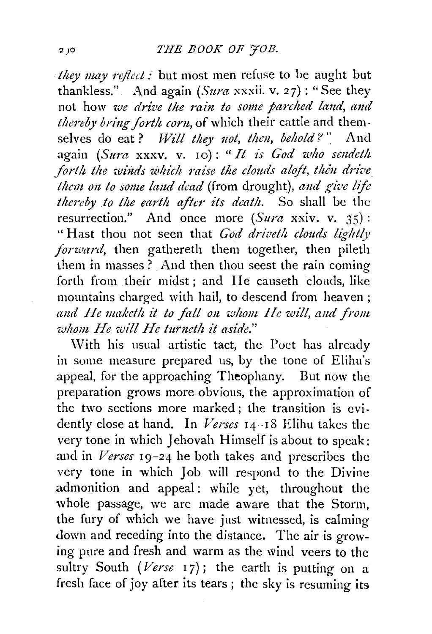. *they nwy rcflcd :* but most men refuse to be aught but thankless." And again *(Sura* xxxii. v. 27): "See they not how *we drive the rain to some parched land, and thereby bring forth corn*, of which their cattle and themselves do eat? *Will they not, then, behold?*<sup>"</sup> And again *(Sura* xxxv. v. 10): *"It is God who seudeth*  forth the winds which raise the clouds aloft, then drive *them on to some land dead* (from drought), *and give life thereby to the earth after its death.* So shall be the resurrection." And once more *(Sura* xxiv. v. 35): "Hast thou not seen that *God driveth clouds lightly forward,* then gathereth them together, then pileth them in masses  $\overline{?}$  And then thou seest the rain coming forth from their midst ; and He causeth clouds, like mountains charged with hail, to descend from heaven ; and He maketh it to fall on whom He will, and from *whom He will He turncth it aside."* 

With his usual artistic tact, the Poet has already in some measure prepared us, by the tone of Elihu's appeal, for the approaching Theophany. But now the preparation grows more obvious, the approximation of the two sections more marked; the transition is evidently close at hand. In *Verses* 14-18 Elihu takes the very tone in which Jehovah Himself is about to speak; and in *Verses* 19-24 he both takes and prescribes the very tone in which Job will respond to the Divine admonition and appeal: while yet, throughout the whole passage, we are made aware that the Storm, the fury of which we have just witnessed, is calming down and receding into the distance. The air is growing pure and fresh and warm as the wind veers to the sultry South  $(Verse 17)$ ; the earth is putting on a fresh face of joy after its tears ; the sky is resuming its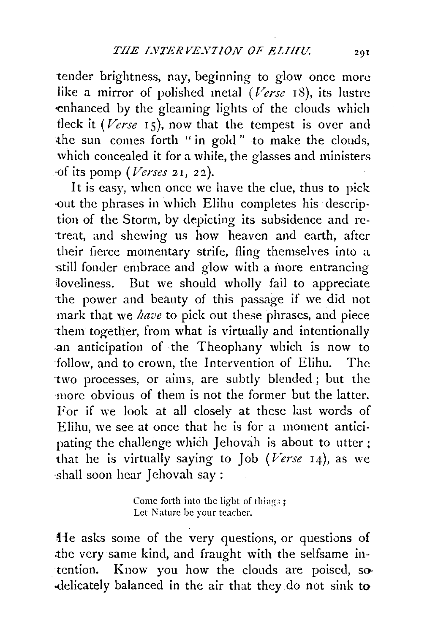tender brightness, nay, beginning to glow once more like a mirror of polished metal *(Verse* 18), its lustre ·enhanced by the gleaming lights of the clouds which tleck it  $(Verse 15)$ , now that the tempest is over and the sun comes forth " in gold " to make the clouds, which concealed it for a while, the glasses and ministers ·of its pomp *(Verses* 2I, 22).

It is easy, when once we have the clue, thus to pick -out the phrases in which Elihu completes his description of the Storm, by depicting its subsidence and retreat, and shewing us how heaven and earth, after their fierce momentary strife, fling themselves into a still fonder embrace and glow with a inore entrancing loveliness. But we should wholly fail to appreciate the power and beauty of this passage if we did not mark that we *have* to pick out these phrases, and piece ·them together, from what is virtually and intentionally .an anticipation of the Theophany which is now to follow, and to crown, the Intervention of Elihu. The ·two processes, or aims, are subtly blended ; but the more obvious of them is not the former but the latter. For if we look at all closely at these last words of Elihu, we see at once that he is for a moment anticipating the challenge which Jehovah is about to utter; that he is virtually saying to Job (Verse 14), as we shall soon hear Jehovah say :

> Come forth into the light of things; Let Nature be your teacher.

He asks some of the very questions, or questions of the very same kind, and fraught with the selfsame intention. Know you how the clouds are poised, so-.delicately balanced in the air that they do not sink to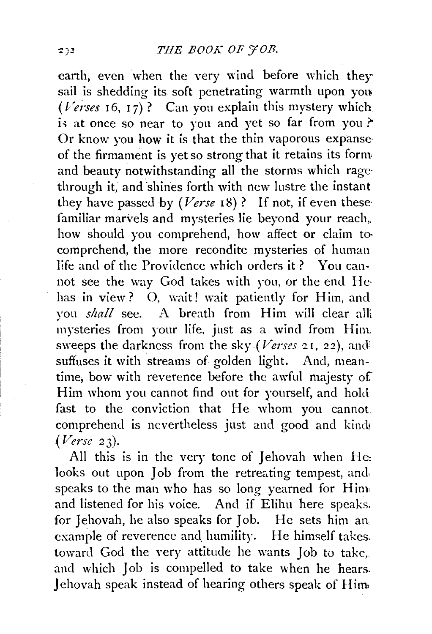earth, even when the very wind before which they sail is shedding its soft penetrating warmth upon you  $(Verses 16, 17)$ ? Can you explain this mystery which is at once so near to you and yet so far from you? Or know you how it is that the thin vaporous expanse· of the firmament is yet so strong that it retains its form and beauty notwithstanding all the storms which rage· through it, and shines forth with new lustre the instant they have passed by *(Verse* IS)? If not, if even these· familiar marvels and mysteries lie beyond your reach,. how should you comprehend, how affect or claim to. comprehend, the more recondite mysteries of human life and of the Providence which orders it ? You cannot see the way God takes with you, or the end He· has in view? O, wait! wait patiently for Him, and you *shall* see. A breath from Him will clear alii mysteries from your life, just as a wind from Him, sweeps the darkness from the sky (Verses 21, 22), and suffuses it with streams of golden light. And, meantime, bow with reverence before the awful majesty of Him whom you cannot find out for yourself, and hold fast to the conviction that He whom you cannot comprehend is nevertheless just and good and kind. *(Verse* 23).

All this is in the very tone of Jehovah when He: looks out upon Job from the retreating tempest, and, speaks to the man who has so long yearned for Him and listened for his voice. And if Elihu here speaks. for Jehovah, he also speaks for Job. He sets him an example of reverence and humility. He himself takes. toward God the very attitude he wants Job to take,. and which Job is compelled to take when he hears. Jehovah speak instead of hearing others speak of Him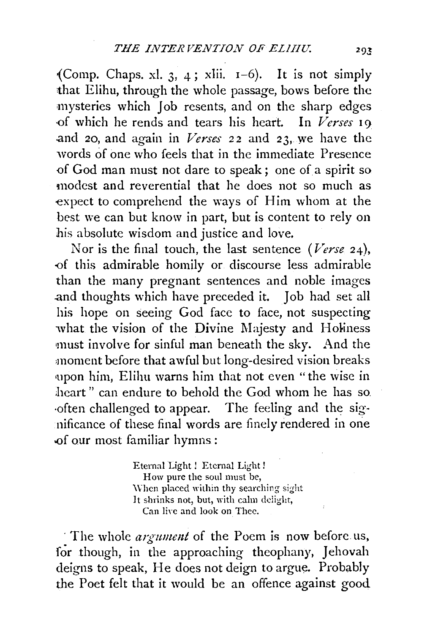(Comp. Chaps. xl. 3, 4; xlii.  $I-6$ ). It is not simply that Elihu, through the whole passage, bows before the mysteries which Job resents, and on the sharp edges -of which he rends and tears his heart. In *Verses* 19 and 20, and again in *Verses* 22 and 23, we have the words of one who feels that in the immediate Presence of God man must not dare to speak; one of a spirit so modest and reverential that he does not so much as expect to comprehend the ways of Him whom at the best we can but know in part, but is content to rely on his absolute wisdom and justice and love.

Nor is the final touch, the last sentence *(Verse* 24), -of this admirable homily or discourse less admirable than the many pregnant sentences and noble images .and thoughts which have preceded it. Job had set all his hope on seeing God face to face, not suspecting what the vision of the Divine Majesty and Holiness must involve for sinful man beneath the sky. And the ,moment before that awful but long-desired vision breaks •upon him, Elihu warns him that not even "the wise in heart" can endure to behold the God whom he has so. often challenged to appear. The feeling and the significance of these final words are finely rendered in one of our most familiar hymns:

> Eternal Light ! Eternal Light ! How pure the soul must be, When placed within thy searching sight lt shrinks not, but, with calm dciight, Can live and look on Thee.

The whole *argument* of the Poem is now before us, for though, in the approaching theophany, Jehovah deigns to speak, He does not deign to argue. Probably the Poet felt that it would be an offence against good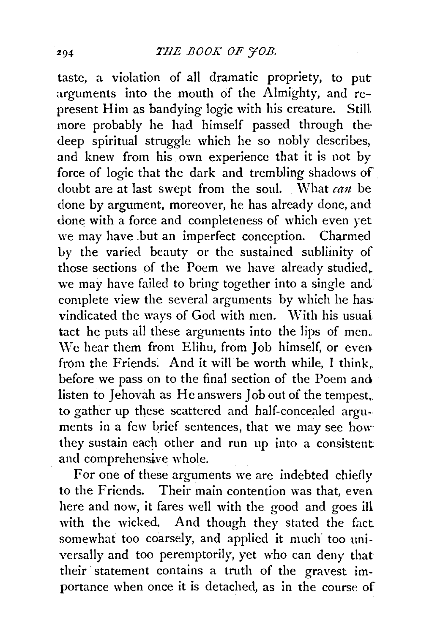taste, a violation of all dramatic propriety, to put arguments into the mouth of the Almighty, and represent Him as bandying logic with his creature. Still more probably he had himself passed through the deep spiritual struggle which he so nobly describes, and knew from his own experience that it is not by force of logic that the dark and trembling shadows of doubt are at last swept from the soul. What *can* be done by argument, moreover, he has already done, and done with a force and completeness of which even yet we may have .but an imperfect conception. Charmed by the varied beauty or the sustained sublimity of those sections of the Poem we have already studied,. we may have failed to bring together into a single and complete view the several arguments by which he has. vindicated the ways of God with men. With his usual tact he puts all these arguments into the lips of men.  $We hear them from Elihu, from Job himself, or even$ from the Friends. And it will be worth while, I think, before we pass on to the final section of the Poem and listen to Jehovah as He answers Job out of the tempest,. to gather up these scattered and half-concealed arguments in a few brief sentences, that we may see how they sustain each other and run up into a consistent: and comprehensive whole.

For one of these arguments we are indebted chiefly to the Friends. Their main contention was that, even here and now, it fares well with the good and goes ill with the wicked. And though they stated the fact somewhat too coarsely, and applied it much too universally and too peremptorily, yet who can deny that their statement contains a truth of the gravest importance when once it is detached, as in the course of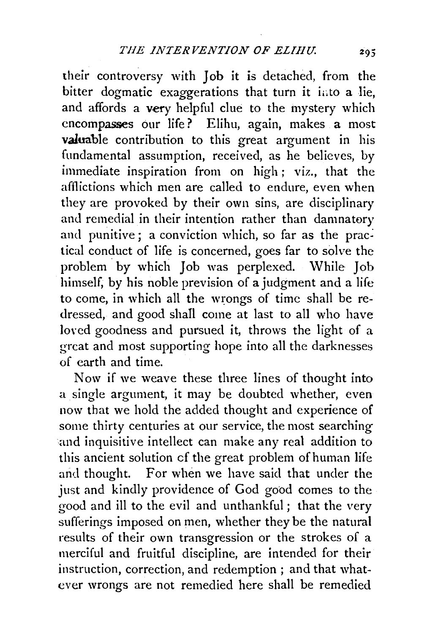their controversy with Job it is detached, from the bitter dogmatic exaggerations that turn it into a lie, and affords a very helpful clue to the mystery which encompasses our life? Elihu, again, makes a most valuable contribution to this great argument in his fundamental assumption, received, as he believes, by immediate inspiration from on high; viz., that the afflictions which men are called to endure, even when they are provoked by their own sins, are disciplinary and remedial in their intention rather than damnatory and punitive; a conviction which, so far as the practical conduct of life is concerned, goes far to solve the problem by which Job was perplexed. While Job himself, by his noble prevision of a judgment and a life to come, in which all the wrongs of time shall be redressed, and good shall come at last to all who have loved goodness and pursued it, throws the light of a great and most supporting hope into all the darknesses of earth and time.

Now if we weave these three lines of thought into a single argument, it may be doubted whether, even now that we hold the added thought and experience of some thirty centuries at our service, the most searching and inquisitive intellect can make any real addition to this ancient solution cf the great problem of human life and thought. For when we have said that under the just and kindly providence of God good comes to the good and ill to the evil and unthankful; that the very sufferings imposed on men, whether they be the natural results of their own transgression or the strokes of a merciful and fruitful discipline, are intended for their instruction, correction, and redemption ; and that whatever wrongs are not remedied here shall be remedied